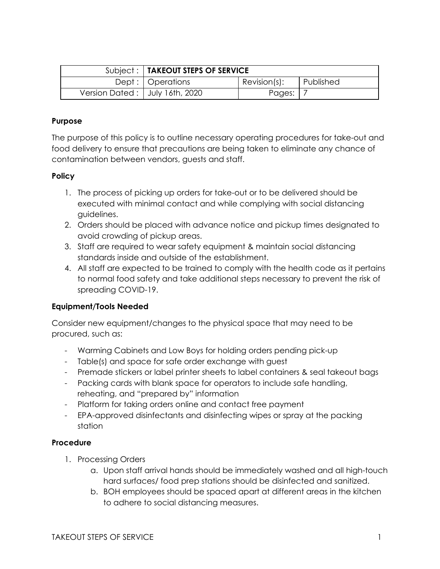|                                  | Subject:   TAKEOUT STEPS OF SERVICE |                 |           |
|----------------------------------|-------------------------------------|-----------------|-----------|
|                                  | Dept:   Operations                  | $Revision(s)$ : | Published |
| Version Dated:   July 16th, 2020 |                                     | Pages:          |           |

### **Purpose**

The purpose of this policy is to outline necessary operating procedures for take-out and food delivery to ensure that precautions are being taken to eliminate any chance of contamination between vendors, guests and staff.

# **Policy**

- 1. The process of picking up orders for take-out or to be delivered should be executed with minimal contact and while complying with social distancing guidelines.
- 2. Orders should be placed with advance notice and pickup times designated to avoid crowding of pickup areas.
- 3. Staff are required to wear safety equipment & maintain social distancing standards inside and outside of the establishment.
- 4. All staff are expected to be trained to comply with the health code as it pertains to normal food safety and take additional steps necessary to prevent the risk of spreading COVID-19.

# **Equipment/Tools Needed**

Consider new equipment/changes to the physical space that may need to be procured, such as:

- Warming Cabinets and Low Boys for holding orders pending pick-up
- Table(s) and space for safe order exchange with guest
- Premade stickers or label printer sheets to label containers & seal takeout bags
- Packing cards with blank space for operators to include safe handling, reheating, and "prepared by" information
- Platform for taking orders online and contact free payment
- EPA-approved disinfectants and disinfecting wipes or spray at the packing station

# **Procedure**

- 1. Processing Orders
	- a. Upon staff arrival hands should be immediately washed and all high-touch hard surfaces/ food prep stations should be disinfected and sanitized.
	- b. BOH employees should be spaced apart at different areas in the kitchen to adhere to social distancing measures.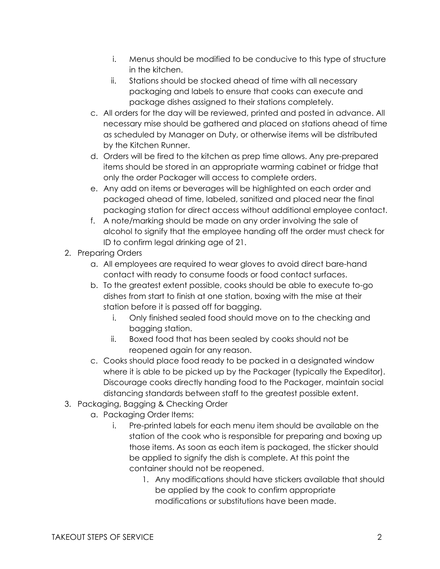- i. Menus should be modified to be conducive to this type of structure in the kitchen.
- ii. Stations should be stocked ahead of time with all necessary packaging and labels to ensure that cooks can execute and package dishes assigned to their stations completely.
- c. All orders for the day will be reviewed, printed and posted in advance. All necessary mise should be gathered and placed on stations ahead of time as scheduled by Manager on Duty, or otherwise items will be distributed by the Kitchen Runner.
- d. Orders will be fired to the kitchen as prep time allows. Any pre-prepared items should be stored in an appropriate warming cabinet or fridge that only the order Packager will access to complete orders.
- e. Any add on items or beverages will be highlighted on each order and packaged ahead of time, labeled, sanitized and placed near the final packaging station for direct access without additional employee contact.
- f. A note/marking should be made on any order involving the sale of alcohol to signify that the employee handing off the order must check for ID to confirm legal drinking age of 21.
- 2. Preparing Orders
	- a. All employees are required to wear gloves to avoid direct bare-hand contact with ready to consume foods or food contact surfaces.
	- b. To the greatest extent possible, cooks should be able to execute to-go dishes from start to finish at one station, boxing with the mise at their station before it is passed off for bagging.
		- i. Only finished sealed food should move on to the checking and bagging station.
		- ii. Boxed food that has been sealed by cooks should not be reopened again for any reason.
	- c. Cooks should place food ready to be packed in a designated window where it is able to be picked up by the Packager (typically the Expeditor). Discourage cooks directly handing food to the Packager, maintain social distancing standards between staff to the greatest possible extent.
- 3. Packaging, Bagging & Checking Order
	- a. Packaging Order Items:
		- i. Pre-printed labels for each menu item should be available on the station of the cook who is responsible for preparing and boxing up those items. As soon as each item is packaged, the sticker should be applied to signify the dish is complete. At this point the container should not be reopened.
			- 1. Any modifications should have stickers available that should be applied by the cook to confirm appropriate modifications or substitutions have been made.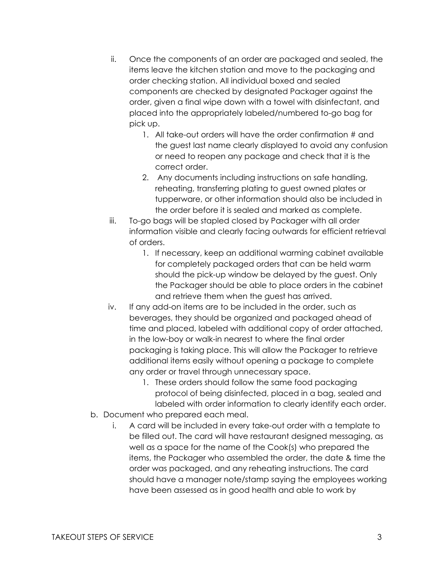- ii. Once the components of an order are packaged and sealed, the items leave the kitchen station and move to the packaging and order checking station. All individual boxed and sealed components are checked by designated Packager against the order, given a final wipe down with a towel with disinfectant, and placed into the appropriately labeled/numbered to-go bag for pick up.
	- 1. All take-out orders will have the order confirmation # and the guest last name clearly displayed to avoid any confusion or need to reopen any package and check that it is the correct order.
	- 2. Any documents including instructions on safe handling, reheating, transferring plating to guest owned plates or tupperware, or other information should also be included in the order before it is sealed and marked as complete.
- iii. To-go bags will be stapled closed by Packager with all order information visible and clearly facing outwards for efficient retrieval of orders.
	- 1. If necessary, keep an additional warming cabinet available for completely packaged orders that can be held warm should the pick-up window be delayed by the guest. Only the Packager should be able to place orders in the cabinet and retrieve them when the guest has arrived.
- iv. If any add-on items are to be included in the order, such as beverages, they should be organized and packaged ahead of time and placed, labeled with additional copy of order attached, in the low-boy or walk-in nearest to where the final order packaging is taking place. This will allow the Packager to retrieve additional items easily without opening a package to complete any order or travel through unnecessary space.
	- 1. These orders should follow the same food packaging protocol of being disinfected, placed in a bag, sealed and labeled with order information to clearly identify each order.
- b. Document who prepared each meal.
	- i. A card will be included in every take-out order with a template to be filled out. The card will have restaurant designed messaging, as well as a space for the name of the Cook(s) who prepared the items, the Packager who assembled the order, the date & time the order was packaged, and any reheating instructions. The card should have a manager note/stamp saying the employees working have been assessed as in good health and able to work by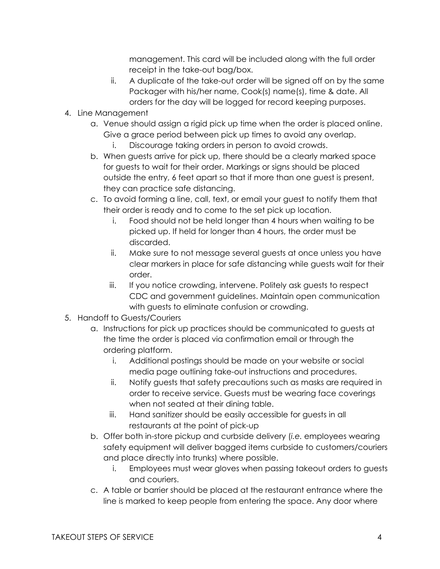management. This card will be included along with the full order receipt in the take-out bag/box.

- ii. A duplicate of the take-out order will be signed off on by the same Packager with his/her name, Cook(s) name(s), time & date. All orders for the day will be logged for record keeping purposes.
- 4. Line Management
	- a. Venue should assign a rigid pick up time when the order is placed online. Give a grace period between pick up times to avoid any overlap.
		- i. Discourage taking orders in person to avoid crowds.
	- b. When guests arrive for pick up, there should be a clearly marked space for guests to wait for their order. Markings or signs should be placed outside the entry, 6 feet apart so that if more than one guest is present, they can practice safe distancing.
	- c. To avoid forming a line, call, text, or email your guest to notify them that their order is ready and to come to the set pick up location.
		- i. Food should not be held longer than 4 hours when waiting to be picked up. If held for longer than 4 hours, the order must be discarded.
		- ii. Make sure to not message several guests at once unless you have clear markers in place for safe distancing while guests wait for their order.
		- iii. If you notice crowding, intervene. Politely ask guests to respect CDC and government guidelines. Maintain open communication with guests to eliminate confusion or crowding.
- 5. Handoff to Guests/Couriers
	- a. Instructions for pick up practices should be communicated to guests at the time the order is placed via confirmation email or through the ordering platform.
		- i. Additional postings should be made on your website or social media page outlining take-out instructions and procedures.
		- ii. Notify guests that safety precautions such as masks are required in order to receive service. Guests must be wearing face coverings when not seated at their dining table.
		- iii. Hand sanitizer should be easily accessible for guests in all restaurants at the point of pick-up
	- b. Offer both in-store pickup and curbside delivery (*i.e.* employees wearing safety equipment will deliver bagged items curbside to customers/couriers and place directly into trunks) where possible.
		- i. Employees must wear gloves when passing takeout orders to guests and couriers.
	- c. A table or barrier should be placed at the restaurant entrance where the line is marked to keep people from entering the space. Any door where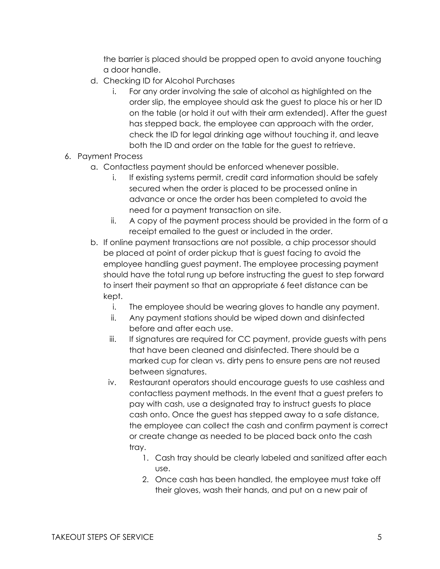the barrier is placed should be propped open to avoid anyone touching a door handle.

- d. Checking ID for Alcohol Purchases
	- i. For any order involving the sale of alcohol as highlighted on the order slip, the employee should ask the guest to place his or her ID on the table (or hold it out with their arm extended). After the guest has stepped back, the employee can approach with the order, check the ID for legal drinking age without touching it, and leave both the ID and order on the table for the guest to retrieve.
- 6. Payment Process
	- a. Contactless payment should be enforced whenever possible.
		- i. If existing systems permit, credit card information should be safely secured when the order is placed to be processed online in advance or once the order has been completed to avoid the need for a payment transaction on site.
		- ii. A copy of the payment process should be provided in the form of a receipt emailed to the guest or included in the order.
	- b. If online payment transactions are not possible, a chip processor should be placed at point of order pickup that is guest facing to avoid the employee handling guest payment. The employee processing payment should have the total rung up before instructing the guest to step forward to insert their payment so that an appropriate 6 feet distance can be kept.
		- i. The employee should be wearing gloves to handle any payment.
		- ii. Any payment stations should be wiped down and disinfected before and after each use.
		- iii. If signatures are required for CC payment, provide guests with pens that have been cleaned and disinfected. There should be a marked cup for clean vs. dirty pens to ensure pens are not reused between signatures.
		- iv. Restaurant operators should encourage guests to use cashless and contactless payment methods. In the event that a guest prefers to pay with cash, use a designated tray to instruct guests to place cash onto. Once the guest has stepped away to a safe distance, the employee can collect the cash and confirm payment is correct or create change as needed to be placed back onto the cash tray.
			- 1. Cash tray should be clearly labeled and sanitized after each use.
			- 2. Once cash has been handled, the employee must take off their gloves, wash their hands, and put on a new pair of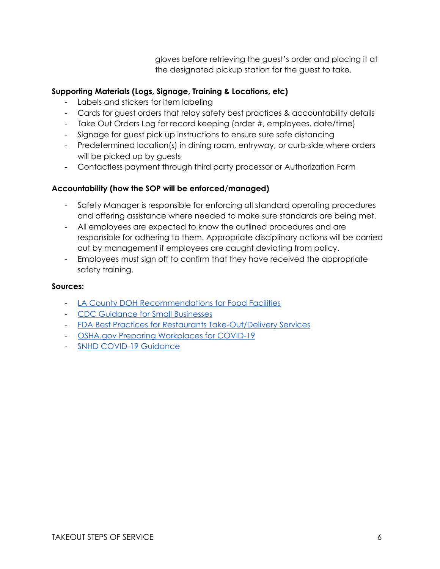gloves before retrieving the guest's order and placing it at the designated pickup station for the guest to take.

# **Supporting Materials (Logs, Signage, Training & Locations, etc)**

- Labels and stickers for item labeling
- Cards for guest orders that relay safety best practices & accountability details
- Take Out Orders Log for record keeping (order #, employees, date/time)
- Signage for guest pick up instructions to ensure sure safe distancing
- Predetermined location(s) in dining room, entryway, or curb-side where orders will be picked up by guests
- Contactless payment through third party processor or Authorization Form

# **Accountability (how the SOP will be enforced/managed)**

- Safety Manager is responsible for enforcing all standard operating procedures and offering assistance where needed to make sure standards are being met.
- All employees are expected to know the outlined procedures and are responsible for adhering to them. Appropriate disciplinary actions will be carried out by management if employees are caught deviating from policy.
- Employees must sign off to confirm that they have received the appropriate safety training.

# **Sources:**

- [LA County DOH Recommendations for Food Facilities](http://publichealth.lacounty.gov/media/coronavirus/GuidanceFoodFacilities.pdf)
- [CDC Guidance for Small Businesses](https://www.cdc.gov/coronavirus/2019-ncov/community/guidance-small-business.html)
- [FDA Best Practices for Restaurants Take-Out/Delivery Services](https://www.fda.gov/food/food-safety-during-emergencies/best-practices-retail-food-stores-restaurants-and-food-pick-updelivery-services-during-covid-19)
- [OSHA.gov Preparing Workplaces for COVID-19](https://www.osha.gov/Publications/OSHA3990.pdf)
- [SNHD COVID-19 Guidance](https://www.southernnevadahealthdistrict.org/permits-and-regulations/food-establishment-resource-library/covid-19-guidance-for-food-establishments/)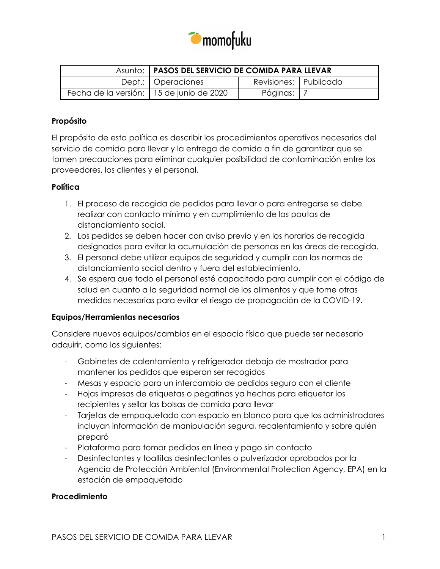

|                                            | Asunto:   PASOS DEL SERVICIO DE COMIDA PARA LLEVAR |                       |  |
|--------------------------------------------|----------------------------------------------------|-----------------------|--|
|                                            | Dept.:   Operaciones                               | Revisiones: Publicado |  |
| Fecha de la versión:   15 de junio de 2020 |                                                    | Páginas:              |  |

### **Propósito**

El propósito de esta política es describir los procedimientos operativos necesarios del servicio de comida para llevar y la entrega de comida a fin de garantizar que se tomen precauciones para eliminar cualquier posibilidad de contaminación entre los proveedores, los clientes y el personal.

### **Política**

- 1. El proceso de recogida de pedidos para llevar o para entregarse se debe realizar con contacto mínimo y en cumplimiento de las pautas de distanciamiento social.
- 2. Los pedidos se deben hacer con aviso previo y en los horarios de recogida designados para evitar la acumulación de personas en las áreas de recogida.
- 3. El personal debe utilizar equipos de seguridad y cumplir con las normas de distanciamiento social dentro y fuera del establecimiento.
- 4. Se espera que todo el personal esté capacitado para cumplir con el código de salud en cuanto a la seguridad normal de los alimentos y que tome otras medidas necesarias para evitar el riesgo de propagación de la COVID-19.

### **Equipos/Herramientas necesarios**

Considere nuevos equipos/cambios en el espacio físico que puede ser necesario adquirir, como los siguientes:

- Gabinetes de calentamiento y refrigerador debajo de mostrador para mantener los pedidos que esperan ser recogidos
- Mesas y espacio para un intercambio de pedidos seguro con el cliente
- Hojas impresas de etiquetas o pegatinas ya hechas para etiquetar los recipientes y sellar las bolsas de comida para llevar
- Tarjetas de empaquetado con espacio en blanco para que los administradores incluyan información de manipulación segura, recalentamiento y sobre quién preparó
- Plataforma para tomar pedidos en línea y pago sin contacto
- Desinfectantes y toallitas desinfectantes o pulverizador aprobados por la Agencia de Protección Ambiental (Environmental Protection Agency, EPA) en la estación de empaquetado

### **Procedimiento**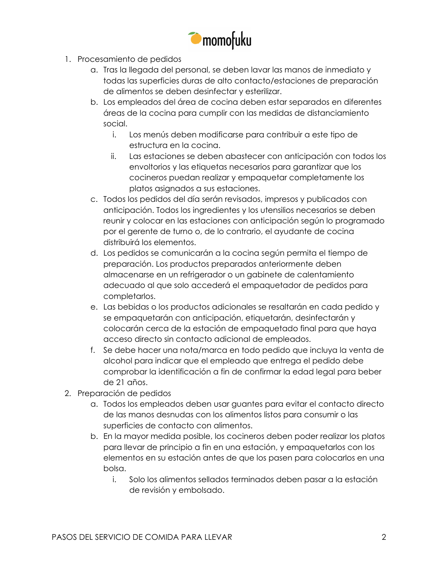

- 1. Procesamiento de pedidos
	- a. Tras la llegada del personal, se deben lavar las manos de inmediato y todas las superficies duras de alto contacto/estaciones de preparación de alimentos se deben desinfectar y esterilizar.
	- b. Los empleados del área de cocina deben estar separados en diferentes áreas de la cocina para cumplir con las medidas de distanciamiento social.
		- i. Los menús deben modificarse para contribuir a este tipo de estructura en la cocina.
		- ii. Las estaciones se deben abastecer con anticipación con todos los envoltorios y las etiquetas necesarios para garantizar que los cocineros puedan realizar y empaquetar completamente los platos asignados a sus estaciones.
	- c. Todos los pedidos del día serán revisados, impresos y publicados con anticipación. Todos los ingredientes y los utensilios necesarios se deben reunir y colocar en las estaciones con anticipación según lo programado por el gerente de turno o, de lo contrario, el ayudante de cocina distribuirá los elementos.
	- d. Los pedidos se comunicarán a la cocina según permita el tiempo de preparación. Los productos preparados anteriormente deben almacenarse en un refrigerador o un gabinete de calentamiento adecuado al que solo accederá el empaquetador de pedidos para completarlos.
	- e. Las bebidas o los productos adicionales se resaltarán en cada pedido y se empaquetarán con anticipación, etiquetarán, desinfectarán y colocarán cerca de la estación de empaquetado final para que haya acceso directo sin contacto adicional de empleados.
	- f. Se debe hacer una nota/marca en todo pedido que incluya la venta de alcohol para indicar que el empleado que entrega el pedido debe comprobar la identificación a fin de confirmar la edad legal para beber de 21 años.
- 2. Preparación de pedidos
	- a. Todos los empleados deben usar guantes para evitar el contacto directo de las manos desnudas con los alimentos listos para consumir o las superficies de contacto con alimentos.
	- b. En la mayor medida posible, los cocineros deben poder realizar los platos para llevar de principio a fin en una estación, y empaquetarlos con los elementos en su estación antes de que los pasen para colocarlos en una bolsa.
		- i. Solo los alimentos sellados terminados deben pasar a la estación de revisión y embolsado.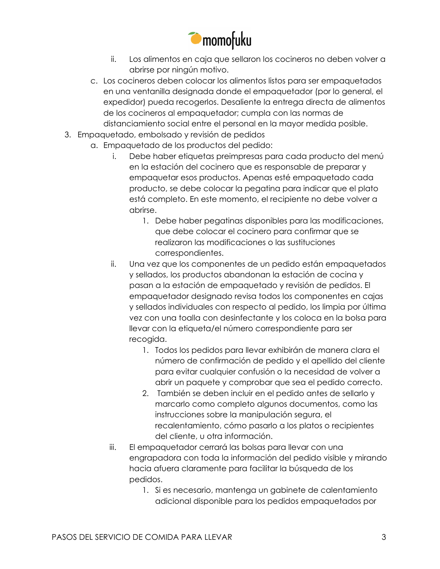

- ii. Los alimentos en caja que sellaron los cocineros no deben volver a abrirse por ningún motivo.
- c. Los cocineros deben colocar los alimentos listos para ser empaquetados en una ventanilla designada donde el empaquetador (por lo general, el expedidor) pueda recogerlos. Desaliente la entrega directa de alimentos de los cocineros al empaquetador; cumpla con las normas de distanciamiento social entre el personal en la mayor medida posible.
- 3. Empaquetado, embolsado y revisión de pedidos
	- a. Empaquetado de los productos del pedido:
		- i. Debe haber etiquetas preimpresas para cada producto del menú en la estación del cocinero que es responsable de preparar y empaquetar esos productos. Apenas esté empaquetado cada producto, se debe colocar la pegatina para indicar que el plato está completo. En este momento, el recipiente no debe volver a abrirse.
			- 1. Debe haber pegatinas disponibles para las modificaciones, que debe colocar el cocinero para confirmar que se realizaron las modificaciones o las sustituciones correspondientes.
		- ii. Una vez que los componentes de un pedido están empaquetados y sellados, los productos abandonan la estación de cocina y pasan a la estación de empaquetado y revisión de pedidos. El empaquetador designado revisa todos los componentes en cajas y sellados individuales con respecto al pedido, los limpia por última vez con una toalla con desinfectante y los coloca en la bolsa para llevar con la etiqueta/el número correspondiente para ser recogida.
			- 1. Todos los pedidos para llevar exhibirán de manera clara el número de confirmación de pedido y el apellido del cliente para evitar cualquier confusión o la necesidad de volver a abrir un paquete y comprobar que sea el pedido correcto.
			- 2. También se deben incluir en el pedido antes de sellarlo y marcarlo como completo algunos documentos, como las instrucciones sobre la manipulación segura, el recalentamiento, cómo pasarlo a los platos o recipientes del cliente, u otra información.
		- iii. El empaquetador cerrará las bolsas para llevar con una engrapadora con toda la información del pedido visible y mirando hacia afuera claramente para facilitar la búsqueda de los pedidos.
			- 1. Si es necesario, mantenga un gabinete de calentamiento adicional disponible para los pedidos empaquetados por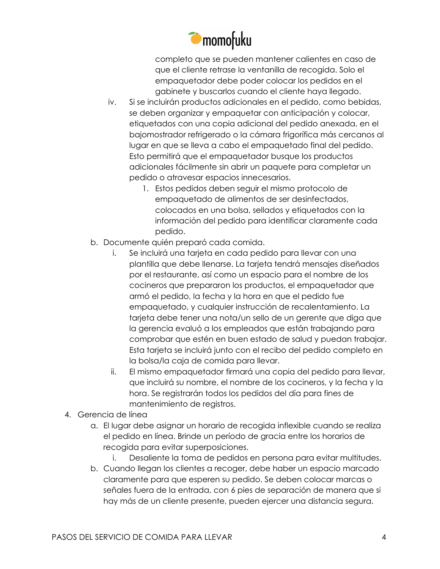

completo que se pueden mantener calientes en caso de que el cliente retrase la ventanilla de recogida. Solo el empaquetador debe poder colocar los pedidos en el gabinete y buscarlos cuando el cliente haya llegado.

- iv. Si se incluirán productos adicionales en el pedido, como bebidas, se deben organizar y empaquetar con anticipación y colocar, etiquetados con una copia adicional del pedido anexada, en el bajomostrador refrigerado o la cámara frigorífica más cercanos al lugar en que se lleva a cabo el empaquetado final del pedido. Esto permitirá que el empaquetador busque los productos adicionales fácilmente sin abrir un paquete para completar un pedido o atravesar espacios innecesarios.
	- 1. Estos pedidos deben seguir el mismo protocolo de empaquetado de alimentos de ser desinfectados, colocados en una bolsa, sellados y etiquetados con la información del pedido para identificar claramente cada pedido.
- b. Documente quién preparó cada comida.
	- i. Se incluirá una tarjeta en cada pedido para llevar con una plantilla que debe llenarse. La tarjeta tendrá mensajes diseñados por el restaurante, así como un espacio para el nombre de los cocineros que prepararon los productos, el empaquetador que armó el pedido, la fecha y la hora en que el pedido fue empaquetado, y cualquier instrucción de recalentamiento. La tarjeta debe tener una nota/un sello de un gerente que diga que la gerencia evaluó a los empleados que están trabajando para comprobar que estén en buen estado de salud y puedan trabajar. Esta tarjeta se incluirá junto con el recibo del pedido completo en la bolsa/la caja de comida para llevar.
	- ii. El mismo empaquetador firmará una copia del pedido para llevar, que incluirá su nombre, el nombre de los cocineros, y la fecha y la hora. Se registrarán todos los pedidos del día para fines de mantenimiento de registros.
- 4. Gerencia de línea
	- a. El lugar debe asignar un horario de recogida inflexible cuando se realiza el pedido en línea. Brinde un período de gracia entre los horarios de recogida para evitar superposiciones.
		- i. Desaliente la toma de pedidos en persona para evitar multitudes.
	- b. Cuando llegan los clientes a recoger, debe haber un espacio marcado claramente para que esperen su pedido. Se deben colocar marcas o señales fuera de la entrada, con 6 pies de separación de manera que si hay más de un cliente presente, pueden ejercer una distancia segura.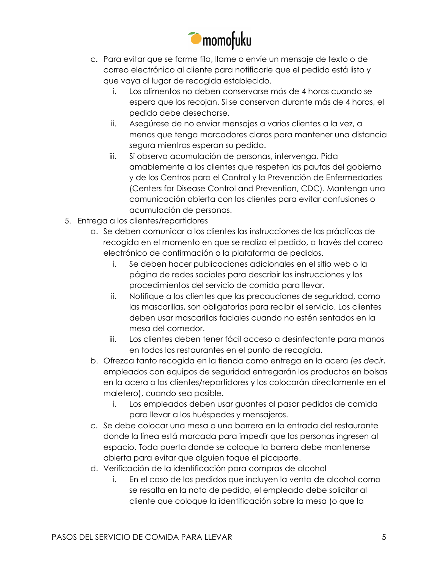

- c. Para evitar que se forme fila, llame o envíe un mensaje de texto o de correo electrónico al cliente para notificarle que el pedido está listo y que vaya al lugar de recogida establecido.
	- i. Los alimentos no deben conservarse más de 4 horas cuando se espera que los recojan. Si se conservan durante más de 4 horas, el pedido debe desecharse.
	- ii. Asegúrese de no enviar mensajes a varios clientes a la vez, a menos que tenga marcadores claros para mantener una distancia segura mientras esperan su pedido.
	- iii. Si observa acumulación de personas, intervenga. Pida amablemente a los clientes que respeten las pautas del gobierno y de los Centros para el Control y la Prevención de Enfermedades (Centers for Disease Control and Prevention, CDC). Mantenga una comunicación abierta con los clientes para evitar confusiones o acumulación de personas.
- 5. Entrega a los clientes/repartidores
	- a. Se deben comunicar a los clientes las instrucciones de las prácticas de recogida en el momento en que se realiza el pedido, a través del correo electrónico de confirmación o la plataforma de pedidos.
		- i. Se deben hacer publicaciones adicionales en el sitio web o la página de redes sociales para describir las instrucciones y los procedimientos del servicio de comida para llevar.
		- ii. Notifique a los clientes que las precauciones de seguridad, como las mascarillas, son obligatorias para recibir el servicio. Los clientes deben usar mascarillas faciales cuando no estén sentados en la mesa del comedor.
		- iii. Los clientes deben tener fácil acceso a desinfectante para manos en todos los restaurantes en el punto de recogida.
	- b. Ofrezca tanto recogida en la tienda como entrega en la acera (*es decir*, empleados con equipos de seguridad entregarán los productos en bolsas en la acera a los clientes/repartidores y los colocarán directamente en el maletero), cuando sea posible.
		- i. Los empleados deben usar guantes al pasar pedidos de comida para llevar a los huéspedes y mensajeros.
	- c. Se debe colocar una mesa o una barrera en la entrada del restaurante donde la línea está marcada para impedir que las personas ingresen al espacio. Toda puerta donde se coloque la barrera debe mantenerse abierta para evitar que alguien toque el picaporte.
	- d. Verificación de la identificación para compras de alcohol
		- i. En el caso de los pedidos que incluyen la venta de alcohol como se resalta en la nota de pedido, el empleado debe solicitar al cliente que coloque la identificación sobre la mesa (o que la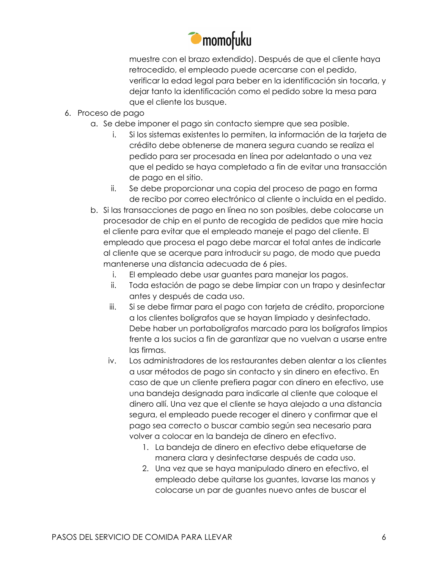

muestre con el brazo extendido). Después de que el cliente haya retrocedido, el empleado puede acercarse con el pedido, verificar la edad legal para beber en la identificación sin tocarla, y dejar tanto la identificación como el pedido sobre la mesa para que el cliente los busque.

- 6. Proceso de pago
	- a. Se debe imponer el pago sin contacto siempre que sea posible.
		- i. Si los sistemas existentes lo permiten, la información de la tarjeta de crédito debe obtenerse de manera segura cuando se realiza el pedido para ser procesada en línea por adelantado o una vez que el pedido se haya completado a fin de evitar una transacción de pago en el sitio.
		- ii. Se debe proporcionar una copia del proceso de pago en forma de recibo por correo electrónico al cliente o incluida en el pedido.
	- b. Si las transacciones de pago en línea no son posibles, debe colocarse un procesador de chip en el punto de recogida de pedidos que mire hacia el cliente para evitar que el empleado maneje el pago del cliente. El empleado que procesa el pago debe marcar el total antes de indicarle al cliente que se acerque para introducir su pago, de modo que pueda mantenerse una distancia adecuada de 6 pies.
		- i. El empleado debe usar guantes para manejar los pagos.
		- ii. Toda estación de pago se debe limpiar con un trapo y desinfectar antes y después de cada uso.
		- iii. Si se debe firmar para el pago con tarjeta de crédito, proporcione a los clientes bolígrafos que se hayan limpiado y desinfectado. Debe haber un portabolígrafos marcado para los bolígrafos limpios frente a los sucios a fin de garantizar que no vuelvan a usarse entre las firmas.
		- iv. Los administradores de los restaurantes deben alentar a los clientes a usar métodos de pago sin contacto y sin dinero en efectivo. En caso de que un cliente prefiera pagar con dinero en efectivo, use una bandeja designada para indicarle al cliente que coloque el dinero allí. Una vez que el cliente se haya alejado a una distancia segura, el empleado puede recoger el dinero y confirmar que el pago sea correcto o buscar cambio según sea necesario para volver a colocar en la bandeja de dinero en efectivo.
			- 1. La bandeja de dinero en efectivo debe etiquetarse de manera clara y desinfectarse después de cada uso.
			- 2. Una vez que se haya manipulado dinero en efectivo, el empleado debe quitarse los guantes, lavarse las manos y colocarse un par de guantes nuevo antes de buscar el